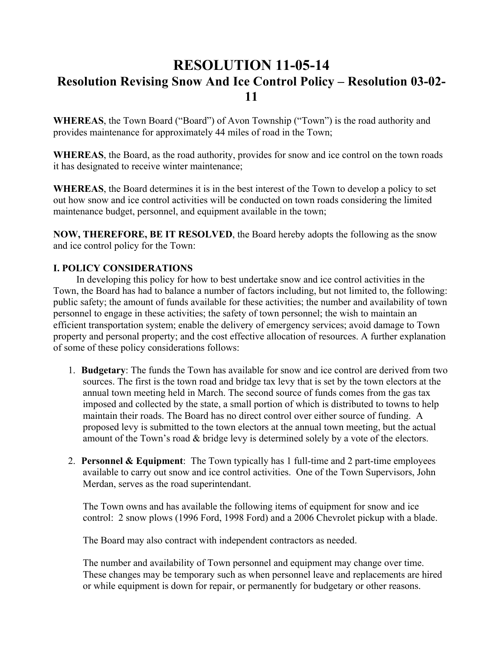# **RESOLUTION 11-05-14 Resolution Revising Snow And Ice Control Policy – Resolution 03-02- 11**

**WHEREAS**, the Town Board ("Board") of Avon Township ("Town") is the road authority and provides maintenance for approximately 44 miles of road in the Town;

**WHEREAS**, the Board, as the road authority, provides for snow and ice control on the town roads it has designated to receive winter maintenance;

**WHEREAS**, the Board determines it is in the best interest of the Town to develop a policy to set out how snow and ice control activities will be conducted on town roads considering the limited maintenance budget, personnel, and equipment available in the town;

**NOW, THEREFORE, BE IT RESOLVED**, the Board hereby adopts the following as the snow and ice control policy for the Town:

## **I. POLICY CONSIDERATIONS**

In developing this policy for how to best undertake snow and ice control activities in the Town, the Board has had to balance a number of factors including, but not limited to, the following: public safety; the amount of funds available for these activities; the number and availability of town personnel to engage in these activities; the safety of town personnel; the wish to maintain an efficient transportation system; enable the delivery of emergency services; avoid damage to Town property and personal property; and the cost effective allocation of resources. A further explanation of some of these policy considerations follows:

- 1. **Budgetary**: The funds the Town has available for snow and ice control are derived from two sources. The first is the town road and bridge tax levy that is set by the town electors at the annual town meeting held in March. The second source of funds comes from the gas tax imposed and collected by the state, a small portion of which is distributed to towns to help maintain their roads. The Board has no direct control over either source of funding. A proposed levy is submitted to the town electors at the annual town meeting, but the actual amount of the Town's road & bridge levy is determined solely by a vote of the electors.
- 2. **Personnel & Equipment**: The Town typically has 1 full-time and 2 part-time employees available to carry out snow and ice control activities. One of the Town Supervisors, John Merdan, serves as the road superintendant.

The Town owns and has available the following items of equipment for snow and ice control: 2 snow plows (1996 Ford, 1998 Ford) and a 2006 Chevrolet pickup with a blade.

The Board may also contract with independent contractors as needed.

The number and availability of Town personnel and equipment may change over time. These changes may be temporary such as when personnel leave and replacements are hired or while equipment is down for repair, or permanently for budgetary or other reasons.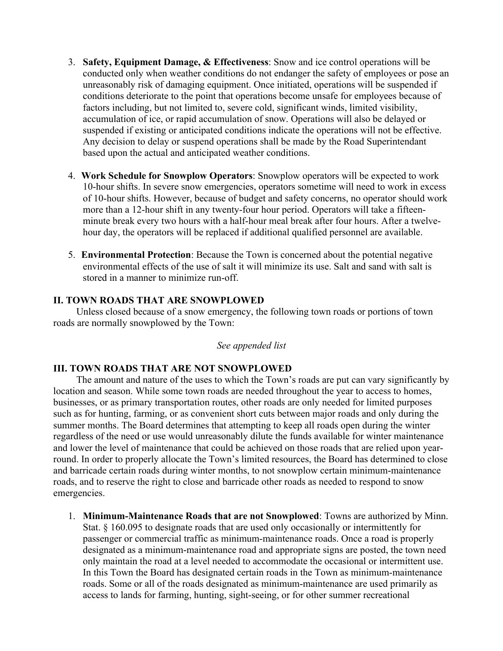- 3. **Safety, Equipment Damage, & Effectiveness**: Snow and ice control operations will be conducted only when weather conditions do not endanger the safety of employees or pose an unreasonably risk of damaging equipment. Once initiated, operations will be suspended if conditions deteriorate to the point that operations become unsafe for employees because of factors including, but not limited to, severe cold, significant winds, limited visibility, accumulation of ice, or rapid accumulation of snow. Operations will also be delayed or suspended if existing or anticipated conditions indicate the operations will not be effective. Any decision to delay or suspend operations shall be made by the Road Superintendant based upon the actual and anticipated weather conditions.
- 4. **Work Schedule for Snowplow Operators**: Snowplow operators will be expected to work 10-hour shifts. In severe snow emergencies, operators sometime will need to work in excess of 10-hour shifts. However, because of budget and safety concerns, no operator should work more than a 12-hour shift in any twenty-four hour period. Operators will take a fifteenminute break every two hours with a half-hour meal break after four hours. After a twelvehour day, the operators will be replaced if additional qualified personnel are available.
- 5. **Environmental Protection**: Because the Town is concerned about the potential negative environmental effects of the use of salt it will minimize its use. Salt and sand with salt is stored in a manner to minimize run-off.

#### **II. TOWN ROADS THAT ARE SNOWPLOWED**

Unless closed because of a snow emergency, the following town roads or portions of town roads are normally snowplowed by the Town:

#### *See appended list*

#### **III. TOWN ROADS THAT ARE NOT SNOWPLOWED**

The amount and nature of the uses to which the Town's roads are put can vary significantly by location and season. While some town roads are needed throughout the year to access to homes, businesses, or as primary transportation routes, other roads are only needed for limited purposes such as for hunting, farming, or as convenient short cuts between major roads and only during the summer months. The Board determines that attempting to keep all roads open during the winter regardless of the need or use would unreasonably dilute the funds available for winter maintenance and lower the level of maintenance that could be achieved on those roads that are relied upon yearround. In order to properly allocate the Town's limited resources, the Board has determined to close and barricade certain roads during winter months, to not snowplow certain minimum-maintenance roads, and to reserve the right to close and barricade other roads as needed to respond to snow emergencies.

1. **Minimum-Maintenance Roads that are not Snowplowed**: Towns are authorized by Minn. Stat. § 160.095 to designate roads that are used only occasionally or intermittently for passenger or commercial traffic as minimum-maintenance roads. Once a road is properly designated as a minimum-maintenance road and appropriate signs are posted, the town need only maintain the road at a level needed to accommodate the occasional or intermittent use. In this Town the Board has designated certain roads in the Town as minimum-maintenance roads. Some or all of the roads designated as minimum-maintenance are used primarily as access to lands for farming, hunting, sight-seeing, or for other summer recreational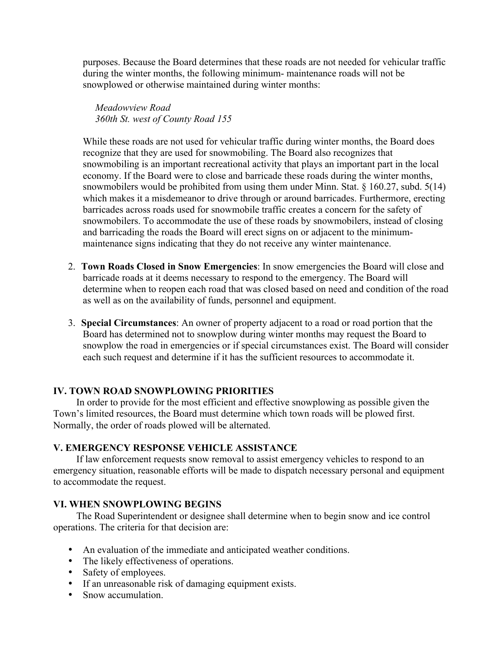purposes. Because the Board determines that these roads are not needed for vehicular traffic during the winter months, the following minimum- maintenance roads will not be snowplowed or otherwise maintained during winter months:

 *Meadowview Road 360th St. west of County Road 155*

While these roads are not used for vehicular traffic during winter months, the Board does recognize that they are used for snowmobiling. The Board also recognizes that snowmobiling is an important recreational activity that plays an important part in the local economy. If the Board were to close and barricade these roads during the winter months, snowmobilers would be prohibited from using them under Minn. Stat. § 160.27, subd. 5(14) which makes it a misdemeanor to drive through or around barricades. Furthermore, erecting barricades across roads used for snowmobile traffic creates a concern for the safety of snowmobilers. To accommodate the use of these roads by snowmobilers, instead of closing and barricading the roads the Board will erect signs on or adjacent to the minimummaintenance signs indicating that they do not receive any winter maintenance.

- 2. **Town Roads Closed in Snow Emergencies**: In snow emergencies the Board will close and barricade roads at it deems necessary to respond to the emergency. The Board will determine when to reopen each road that was closed based on need and condition of the road as well as on the availability of funds, personnel and equipment.
- 3. **Special Circumstances**: An owner of property adjacent to a road or road portion that the Board has determined not to snowplow during winter months may request the Board to snowplow the road in emergencies or if special circumstances exist. The Board will consider each such request and determine if it has the sufficient resources to accommodate it.

## **IV. TOWN ROAD SNOWPLOWING PRIORITIES**

In order to provide for the most efficient and effective snowplowing as possible given the Town's limited resources, the Board must determine which town roads will be plowed first. Normally, the order of roads plowed will be alternated.

## **V. EMERGENCY RESPONSE VEHICLE ASSISTANCE**

If law enforcement requests snow removal to assist emergency vehicles to respond to an emergency situation, reasonable efforts will be made to dispatch necessary personal and equipment to accommodate the request.

## **VI. WHEN SNOWPLOWING BEGINS**

The Road Superintendent or designee shall determine when to begin snow and ice control operations. The criteria for that decision are:

- An evaluation of the immediate and anticipated weather conditions.
- The likely effectiveness of operations.
- Safety of employees.
- If an unreasonable risk of damaging equipment exists.
- Snow accumulation.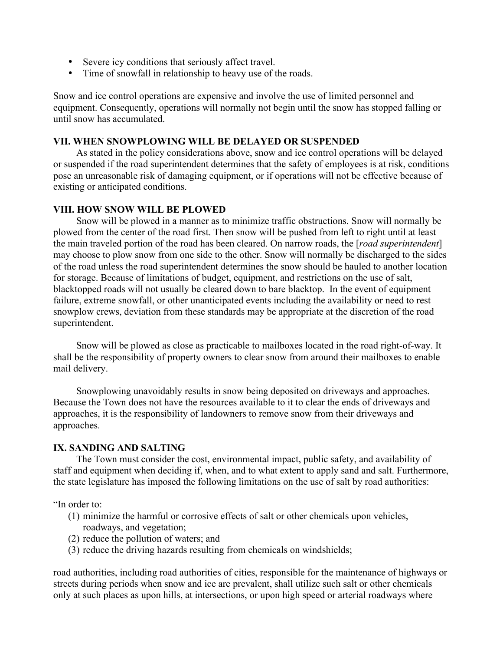- Severe icy conditions that seriously affect travel.
- Time of snowfall in relationship to heavy use of the roads.

Snow and ice control operations are expensive and involve the use of limited personnel and equipment. Consequently, operations will normally not begin until the snow has stopped falling or until snow has accumulated.

#### **VII. WHEN SNOWPLOWING WILL BE DELAYED OR SUSPENDED**

As stated in the policy considerations above, snow and ice control operations will be delayed or suspended if the road superintendent determines that the safety of employees is at risk, conditions pose an unreasonable risk of damaging equipment, or if operations will not be effective because of existing or anticipated conditions.

#### **VIII. HOW SNOW WILL BE PLOWED**

Snow will be plowed in a manner as to minimize traffic obstructions. Snow will normally be plowed from the center of the road first. Then snow will be pushed from left to right until at least the main traveled portion of the road has been cleared. On narrow roads, the [*road superintendent*] may choose to plow snow from one side to the other. Snow will normally be discharged to the sides of the road unless the road superintendent determines the snow should be hauled to another location for storage. Because of limitations of budget, equipment, and restrictions on the use of salt, blacktopped roads will not usually be cleared down to bare blacktop. In the event of equipment failure, extreme snowfall, or other unanticipated events including the availability or need to rest snowplow crews, deviation from these standards may be appropriate at the discretion of the road superintendent.

Snow will be plowed as close as practicable to mailboxes located in the road right-of-way. It shall be the responsibility of property owners to clear snow from around their mailboxes to enable mail delivery.

Snowplowing unavoidably results in snow being deposited on driveways and approaches. Because the Town does not have the resources available to it to clear the ends of driveways and approaches, it is the responsibility of landowners to remove snow from their driveways and approaches.

#### **IX. SANDING AND SALTING**

The Town must consider the cost, environmental impact, public safety, and availability of staff and equipment when deciding if, when, and to what extent to apply sand and salt. Furthermore, the state legislature has imposed the following limitations on the use of salt by road authorities:

"In order to:

- (1) minimize the harmful or corrosive effects of salt or other chemicals upon vehicles, roadways, and vegetation;
- (2) reduce the pollution of waters; and
- (3) reduce the driving hazards resulting from chemicals on windshields;

road authorities, including road authorities of cities, responsible for the maintenance of highways or streets during periods when snow and ice are prevalent, shall utilize such salt or other chemicals only at such places as upon hills, at intersections, or upon high speed or arterial roadways where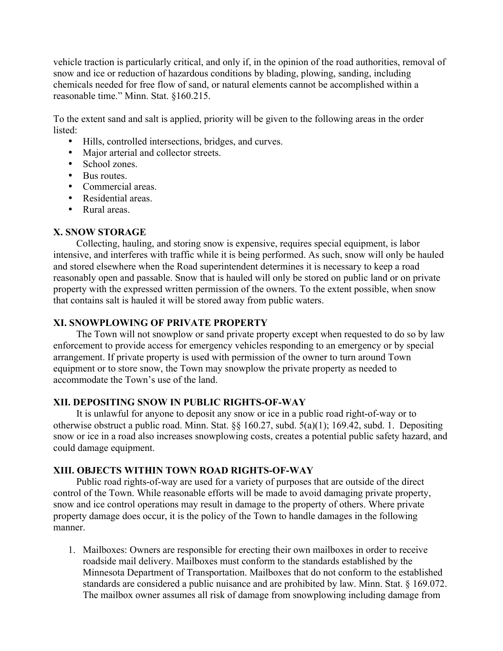vehicle traction is particularly critical, and only if, in the opinion of the road authorities, removal of snow and ice or reduction of hazardous conditions by blading, plowing, sanding, including chemicals needed for free flow of sand, or natural elements cannot be accomplished within a reasonable time." Minn. Stat. §160.215.

To the extent sand and salt is applied, priority will be given to the following areas in the order listed:

- Hills, controlled intersections, bridges, and curves.
- Major arterial and collector streets.
- School zones.
- Bus routes.
- Commercial areas.
- Residential areas.
- Rural areas.

#### **X. SNOW STORAGE**

Collecting, hauling, and storing snow is expensive, requires special equipment, is labor intensive, and interferes with traffic while it is being performed. As such, snow will only be hauled and stored elsewhere when the Road superintendent determines it is necessary to keep a road reasonably open and passable. Snow that is hauled will only be stored on public land or on private property with the expressed written permission of the owners. To the extent possible, when snow that contains salt is hauled it will be stored away from public waters.

#### **XI. SNOWPLOWING OF PRIVATE PROPERTY**

The Town will not snowplow or sand private property except when requested to do so by law enforcement to provide access for emergency vehicles responding to an emergency or by special arrangement. If private property is used with permission of the owner to turn around Town equipment or to store snow, the Town may snowplow the private property as needed to accommodate the Town's use of the land.

## **XII. DEPOSITING SNOW IN PUBLIC RIGHTS-OF-WAY**

It is unlawful for anyone to deposit any snow or ice in a public road right-of-way or to otherwise obstruct a public road. Minn. Stat. §§ 160.27, subd. 5(a)(1); 169.42, subd. 1. Depositing snow or ice in a road also increases snowplowing costs, creates a potential public safety hazard, and could damage equipment.

## **XIII. OBJECTS WITHIN TOWN ROAD RIGHTS-OF-WAY**

Public road rights-of-way are used for a variety of purposes that are outside of the direct control of the Town. While reasonable efforts will be made to avoid damaging private property, snow and ice control operations may result in damage to the property of others. Where private property damage does occur, it is the policy of the Town to handle damages in the following manner.

1. Mailboxes: Owners are responsible for erecting their own mailboxes in order to receive roadside mail delivery. Mailboxes must conform to the standards established by the Minnesota Department of Transportation. Mailboxes that do not conform to the established standards are considered a public nuisance and are prohibited by law. Minn. Stat. § 169.072. The mailbox owner assumes all risk of damage from snowplowing including damage from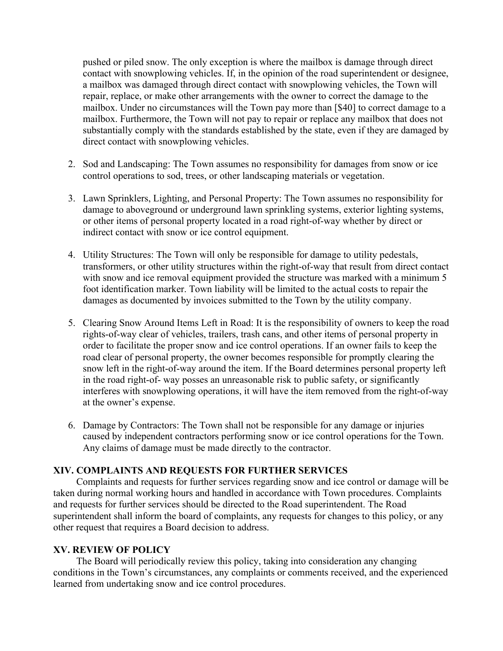pushed or piled snow. The only exception is where the mailbox is damage through direct contact with snowplowing vehicles. If, in the opinion of the road superintendent or designee, a mailbox was damaged through direct contact with snowplowing vehicles, the Town will repair, replace, or make other arrangements with the owner to correct the damage to the mailbox. Under no circumstances will the Town pay more than [\$40] to correct damage to a mailbox. Furthermore, the Town will not pay to repair or replace any mailbox that does not substantially comply with the standards established by the state, even if they are damaged by direct contact with snowplowing vehicles.

- 2. Sod and Landscaping: The Town assumes no responsibility for damages from snow or ice control operations to sod, trees, or other landscaping materials or vegetation.
- 3. Lawn Sprinklers, Lighting, and Personal Property: The Town assumes no responsibility for damage to aboveground or underground lawn sprinkling systems, exterior lighting systems, or other items of personal property located in a road right-of-way whether by direct or indirect contact with snow or ice control equipment.
- 4. Utility Structures: The Town will only be responsible for damage to utility pedestals, transformers, or other utility structures within the right-of-way that result from direct contact with snow and ice removal equipment provided the structure was marked with a minimum 5 foot identification marker. Town liability will be limited to the actual costs to repair the damages as documented by invoices submitted to the Town by the utility company.
- 5. Clearing Snow Around Items Left in Road: It is the responsibility of owners to keep the road rights-of-way clear of vehicles, trailers, trash cans, and other items of personal property in order to facilitate the proper snow and ice control operations. If an owner fails to keep the road clear of personal property, the owner becomes responsible for promptly clearing the snow left in the right-of-way around the item. If the Board determines personal property left in the road right-of- way posses an unreasonable risk to public safety, or significantly interferes with snowplowing operations, it will have the item removed from the right-of-way at the owner's expense.
- 6. Damage by Contractors: The Town shall not be responsible for any damage or injuries caused by independent contractors performing snow or ice control operations for the Town. Any claims of damage must be made directly to the contractor.

## **XIV. COMPLAINTS AND REQUESTS FOR FURTHER SERVICES**

Complaints and requests for further services regarding snow and ice control or damage will be taken during normal working hours and handled in accordance with Town procedures. Complaints and requests for further services should be directed to the Road superintendent. The Road superintendent shall inform the board of complaints, any requests for changes to this policy, or any other request that requires a Board decision to address.

#### **XV. REVIEW OF POLICY**

The Board will periodically review this policy, taking into consideration any changing conditions in the Town's circumstances, any complaints or comments received, and the experienced learned from undertaking snow and ice control procedures.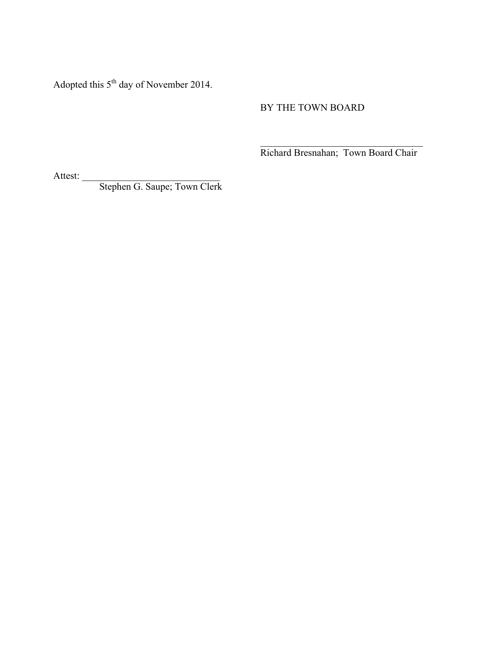Adopted this 5<sup>th</sup> day of November 2014.

## BY THE TOWN BOARD

 $\mathcal{L}_\text{max}$  , where  $\mathcal{L}_\text{max}$  and  $\mathcal{L}_\text{max}$  and  $\mathcal{L}_\text{max}$ Richard Bresnahan; Town Board Chair

Attest:

Stephen G. Saupe; Town Clerk